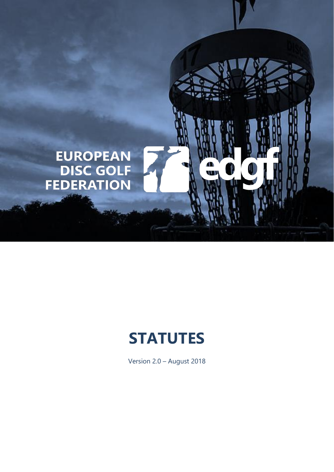

# **STATUTES**

Version 2.0 – August 2018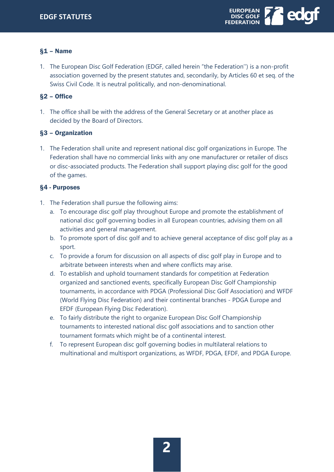

# §1 – Name

1. The European Disc Golf Federation (EDGF, called herein "the Federation'') is a non-profit association governed by the present statutes and, secondarily, by Articles 60 et seq. of the Swiss Civil Code. It is neutral politically, and non-denominational.

# §2 – Office

1. The office shall be with the address of the General Secretary or at another place as decided by the Board of Directors.

# §3 – Organization

1. The Federation shall unite and represent national disc golf organizations in Europe. The Federation shall have no commercial links with any one manufacturer or retailer of discs or disc-associated products. The Federation shall support playing disc golf for the good of the games.

# §4 - Purposes

- 1. The Federation shall pursue the following aims:
	- a. To encourage disc golf play throughout Europe and promote the establishment of national disc golf governing bodies in all European countries, advising them on all activities and general management.
	- b. To promote sport of disc golf and to achieve general acceptance of disc golf play as a sport.
	- c. To provide a forum for discussion on all aspects of disc golf play in Europe and to arbitrate between interests when and where conflicts may arise.
	- d. To establish and uphold tournament standards for competition at Federation organized and sanctioned events, specifically European Disc Golf Championship tournaments, in accordance with PDGA (Professional Disc Golf Association) and WFDF (World Flying Disc Federation) and their continental branches - PDGA Europe and EFDF (European Flying Disc Federation).
	- e. To fairly distribute the right to organize European Disc Golf Championship tournaments to interested national disc golf associations and to sanction other tournament formats which might be of a continental interest.
	- f. To represent European disc golf governing bodies in multilateral relations to multinational and multisport organizations, as WFDF, PDGA, EFDF, and PDGA Europe.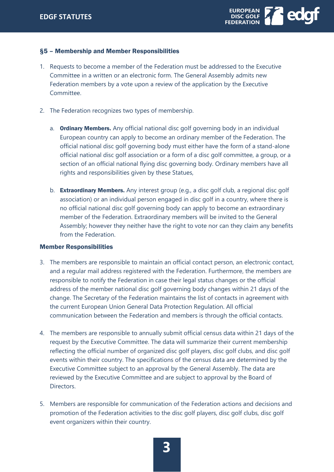

#### §5 – Membership and Member Responsibilities

- 1. Requests to become a member of the Federation must be addressed to the Executive Committee in a written or an electronic form. The General Assembly admits new Federation members by a vote upon a review of the application by the Executive Committee.
- 2. The Federation recognizes two types of membership.
	- a. Ordinary Members. Any official national disc golf governing body in an individual European country can apply to become an ordinary member of the Federation. The official national disc golf governing body must either have the form of a stand-alone official national disc golf association or a form of a disc golf committee, a group, or a section of an official national flying disc governing body. Ordinary members have all rights and responsibilities given by these Statues,
	- b. **Extraordinary Members.** Any interest group (e.g., a disc golf club, a regional disc golf association) or an individual person engaged in disc golf in a country, where there is no official national disc golf governing body can apply to become an extraordinary member of the Federation. Extraordinary members will be invited to the General Assembly; however they neither have the right to vote nor can they claim any benefits from the Federation.

#### Member Responsibilities

- 3. The members are responsible to maintain an official contact person, an electronic contact, and a regular mail address registered with the Federation. Furthermore, the members are responsible to notify the Federation in case their legal status changes or the official address of the member national disc golf governing body changes within 21 days of the change. The Secretary of the Federation maintains the list of contacts in agreement with the current European Union General Data Protection Regulation. All official communication between the Federation and members is through the official contacts.
- 4. The members are responsible to annually submit official census data within 21 days of the request by the Executive Committee. The data will summarize their current membership reflecting the official number of organized disc golf players, disc golf clubs, and disc golf events within their country. The specifications of the census data are determined by the Executive Committee subject to an approval by the General Assembly. The data are reviewed by the Executive Committee and are subject to approval by the Board of Directors.
- 5. Members are responsible for communication of the Federation actions and decisions and promotion of the Federation activities to the disc golf players, disc golf clubs, disc golf event organizers within their country.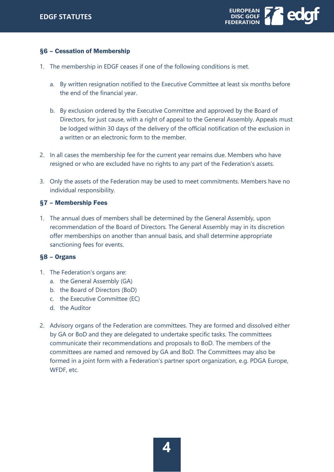

# §6 – Cessation of Membership

- 1. The membership in EDGF ceases if one of the following conditions is met.
	- a. By written resignation notified to the Executive Committee at least six months before the end of the financial year.
	- b. By exclusion ordered by the Executive Committee and approved by the Board of Directors, for just cause, with a right of appeal to the General Assembly. Appeals must be lodged within 30 days of the delivery of the official notification of the exclusion in a written or an electronic form to the member.
- 2. In all cases the membership fee for the current year remains due. Members who have resigned or who are excluded have no rights to any part of the Federation's assets.
- 3. Only the assets of the Federation may be used to meet commitments. Members have no individual responsibility.

#### §7 – Membership Fees

1. The annual dues of members shall be determined by the General Assembly, upon recommendation of the Board of Directors. The General Assembly may in its discretion offer memberships on another than annual basis, and shall determine appropriate sanctioning fees for events.

#### §8 – Organs

- 1. The Federation's organs are:
	- a. the General Assembly (GA)
	- b. the Board of Directors (BoD)
	- c. the Executive Committee (EC)
	- d. the Auditor
- 2. Advisory organs of the Federation are committees. They are formed and dissolved either by GA or BoD and they are delegated to undertake specific tasks. The committees communicate their recommendations and proposals to BoD. The members of the committees are named and removed by GA and BoD. The Committees may also be formed in a joint form with a Federation's partner sport organization, e.g. PDGA Europe, WFDF, etc.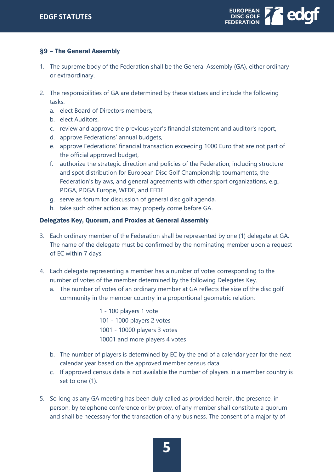

# §9 – The General Assembly

- 1. The supreme body of the Federation shall be the General Assembly (GA), either ordinary or extraordinary.
- 2. The responsibilities of GA are determined by these statues and include the following tasks:
	- a. elect Board of Directors members,
	- b. elect Auditors,
	- c. review and approve the previous year's financial statement and auditor's report,
	- d. approve Federations' annual budgets,
	- e. approve Federations' financial transaction exceeding 1000 Euro that are not part of the official approved budget,
	- f. authorize the strategic direction and policies of the Federation, including structure and spot distribution for European Disc Golf Championship tournaments, the Federation's bylaws, and general agreements with other sport organizations, e.g., PDGA, PDGA Europe, WFDF, and EFDF.
	- g. serve as forum for discussion of general disc golf agenda,
	- h. take such other action as may properly come before GA.

#### Delegates Key, Quorum, and Proxies at General Assembly

- 3. Each ordinary member of the Federation shall be represented by one (1) delegate at GA. The name of the delegate must be confirmed by the nominating member upon a request of EC within 7 days.
- 4. Each delegate representing a member has a number of votes corresponding to the number of votes of the member determined by the following Delegates Key.
	- a. The number of votes of an ordinary member at GA reflects the size of the disc golf community in the member country in a proportional geometric relation:

1 - 100 players 1 vote 101 - 1000 players 2 votes 1001 - 10000 players 3 votes 10001 and more players 4 votes

- b. The number of players is determined by EC by the end of a calendar year for the next calendar year based on the approved member census data.
- c. If approved census data is not available the number of players in a member country is set to one (1).
- 5. So long as any GA meeting has been duly called as provided herein, the presence, in person, by telephone conference or by proxy, of any member shall constitute a quorum and shall be necessary for the transaction of any business. The consent of a majority of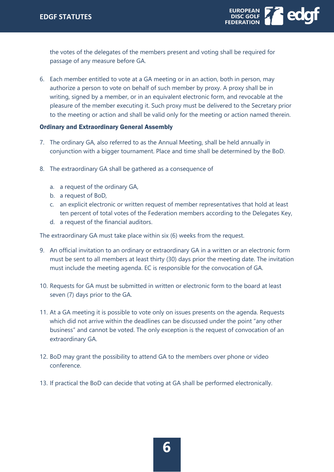

the votes of the delegates of the members present and voting shall be required for passage of any measure before GA.

6. Each member entitled to vote at a GA meeting or in an action, both in person, may authorize a person to vote on behalf of such member by proxy. A proxy shall be in writing, signed by a member, or in an equivalent electronic form, and revocable at the pleasure of the member executing it. Such proxy must be delivered to the Secretary prior to the meeting or action and shall be valid only for the meeting or action named therein.

#### Ordinary and Extraordinary General Assembly

- 7. The ordinary GA, also referred to as the Annual Meeting, shall be held annually in conjunction with a bigger tournament. Place and time shall be determined by the BoD.
- 8. The extraordinary GA shall be gathered as a consequence of
	- a. a request of the ordinary GA,
	- b. a request of BoD,
	- c. an explicit electronic or written request of member representatives that hold at least ten percent of total votes of the Federation members according to the Delegates Key,
	- d. a request of the financial auditors.

The extraordinary GA must take place within six (6) weeks from the request.

- 9. An official invitation to an ordinary or extraordinary GA in a written or an electronic form must be sent to all members at least thirty (30) days prior the meeting date. The invitation must include the meeting agenda. EC is responsible for the convocation of GA.
- 10. Requests for GA must be submitted in written or electronic form to the board at least seven (7) days prior to the GA.
- 11. At a GA meeting it is possible to vote only on issues presents on the agenda. Requests which did not arrive within the deadlines can be discussed under the point "any other business" and cannot be voted. The only exception is the request of convocation of an extraordinary GA.
- 12. BoD may grant the possibility to attend GA to the members over phone or video conference.
- 13. If practical the BoD can decide that voting at GA shall be performed electronically.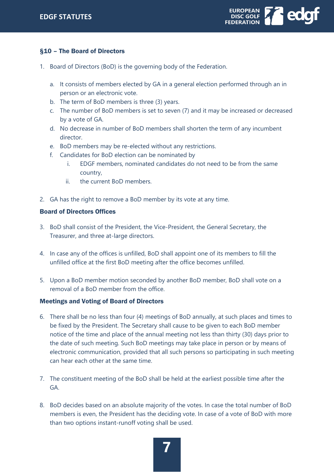

# §10 – The Board of Directors

- 1. Board of Directors (BoD) is the governing body of the Federation.
	- a. It consists of members elected by GA in a general election performed through an in person or an electronic vote.
	- b. The term of BoD members is three (3) years.
	- c. The number of BoD members is set to seven (7) and it may be increased or decreased by a vote of GA.
	- d. No decrease in number of BoD members shall shorten the term of any incumbent director.
	- e. BoD members may be re-elected without any restrictions.
	- f. Candidates for BoD election can be nominated by
		- i. EDGF members, nominated candidates do not need to be from the same country,
		- ii. the current BoD members.
- 2. GA has the right to remove a BoD member by its vote at any time.

#### Board of Directors Offices

- 3. BoD shall consist of the President, the Vice-President, the General Secretary, the Treasurer, and three at-large directors.
- 4. In case any of the offices is unfilled, BoD shall appoint one of its members to fill the unfilled office at the first BoD meeting after the office becomes unfilled.
- 5. Upon a BoD member motion seconded by another BoD member, BoD shall vote on a removal of a BoD member from the office.

#### Meetings and Voting of Board of Directors

- 6. There shall be no less than four (4) meetings of BoD annually, at such places and times to be fixed by the President. The Secretary shall cause to be given to each BoD member notice of the time and place of the annual meeting not less than thirty (30) days prior to the date of such meeting. Such BoD meetings may take place in person or by means of electronic communication, provided that all such persons so participating in such meeting can hear each other at the same time.
- 7. The constituent meeting of the BoD shall be held at the earliest possible time after the GA.
- 8. BoD decides based on an absolute majority of the votes. In case the total number of BoD members is even, the President has the deciding vote. In case of a vote of BoD with more than two options instant-runoff voting shall be used.

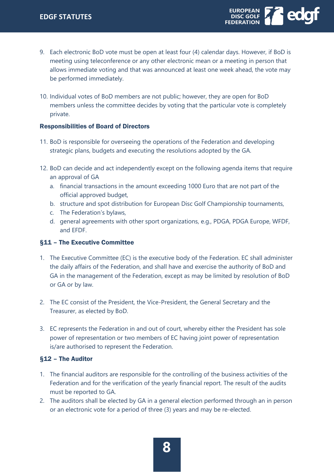

- 9. Each electronic BoD vote must be open at least four (4) calendar days. However, if BoD is meeting using teleconference or any other electronic mean or a meeting in person that allows immediate voting and that was announced at least one week ahead, the vote may be performed immediately.
- 10. Individual votes of BoD members are not public; however, they are open for BoD members unless the committee decides by voting that the particular vote is completely private.

#### Responsibilities of Board of Directors

- 11. BoD is responsible for overseeing the operations of the Federation and developing strategic plans, budgets and executing the resolutions adopted by the GA.
- 12. BoD can decide and act independently except on the following agenda items that require an approval of GA
	- a. financial transactions in the amount exceeding 1000 Euro that are not part of the official approved budget,
	- b. structure and spot distribution for European Disc Golf Championship tournaments,
	- c. The Federation's bylaws,
	- d. general agreements with other sport organizations, e.g., PDGA, PDGA Europe, WFDF, and EFDF.

# §11 – The Executive Committee

- 1. The Executive Committee (EC) is the executive body of the Federation. EC shall administer the daily affairs of the Federation, and shall have and exercise the authority of BoD and GA in the management of the Federation, except as may be limited by resolution of BoD or GA or by law.
- 2. The EC consist of the President, the Vice-President, the General Secretary and the Treasurer, as elected by BoD.
- 3. EC represents the Federation in and out of court, whereby either the President has sole power of representation or two members of EC having joint power of representation is/are authorised to represent the Federation.

# §12 – The Auditor

- 1. The financial auditors are responsible for the controlling of the business activities of the Federation and for the verification of the yearly financial report. The result of the audits must be reported to GA.
- 2. The auditors shall be elected by GA in a general election performed through an in person or an electronic vote for a period of three (3) years and may be re-elected.